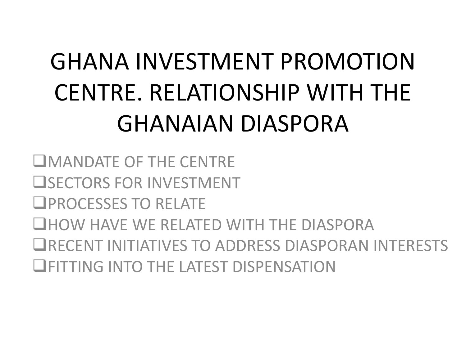# GHANA INVESTMENT PROMOTION CENTRE. RELATIONSHIP WITH THE GHANAIAN DIASPORA

MANDATE OF THE CENTRE **USECTORS FOR INVESTMENT OPROCESSES TO RELATE CHOW HAVE WE RELATED WITH THE DIASPORA** RECENT INITIATIVES TO ADDRESS DIASPORAN INTERESTS **ELECTRICATE CONTROLLER INTO THE LATEST DISPENSATION**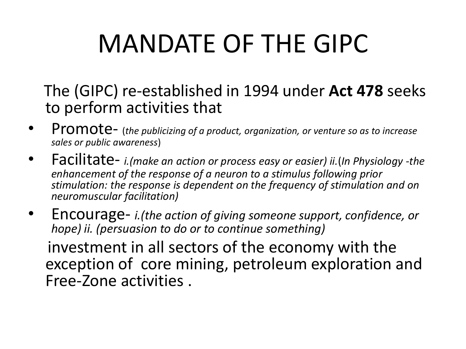# MANDATE OF THE GIPC

 The (GIPC) re-established in 1994 under **Act 478** seeks to perform activities that

- Promote- (*the publicizing of a product, organization, or venture so as to increase sales or public awareness*)
- Facilitate- *i.(make an action or process easy or easier) ii.*(*In Physiology -the enhancement of the response of a neuron to a stimulus following prior stimulation: the response is dependent on the frequency of stimulation and on neuromuscular facilitation)*
- Encourage- *i.(the action of giving someone support, confidence, or hope) ii. (persuasion to do or to continue something)*

 investment in all sectors of the economy with the exception of core mining, petroleum exploration and Free-Zone activities .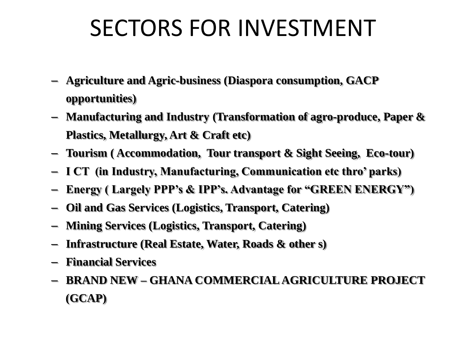### SECTORS FOR INVESTMENT

- **Agriculture and Agric-business (Diaspora consumption, GACP opportunities)**
- **Manufacturing and Industry (Transformation of agro-produce, Paper & Plastics, Metallurgy, Art & Craft etc)**
- **Tourism ( Accommodation, Tour transport & Sight Seeing, Eco-tour)**
- **I CT (in Industry, Manufacturing, Communication etc thro' parks)**
- **Energy ( Largely PPP's & IPP's. Advantage for "GREEN ENERGY")**
- **Oil and Gas Services (Logistics, Transport, Catering)**
- **Mining Services (Logistics, Transport, Catering)**
- **Infrastructure (Real Estate, Water, Roads & other s)**
- **Financial Services**
- **BRAND NEW – GHANA COMMERCIAL AGRICULTURE PROJECT (GCAP)**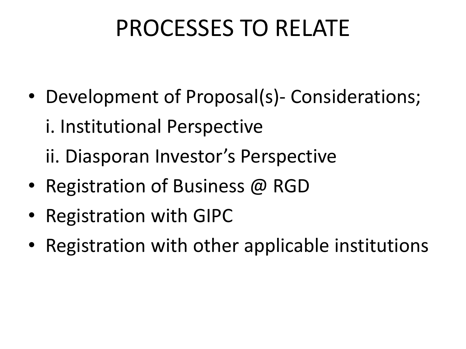## PROCESSES TO RELATE

- Development of Proposal(s)- Considerations;
	- i. Institutional Perspective
	- ii. Diasporan Investor's Perspective
- Registration of Business @ RGD
- Registration with GIPC
- Registration with other applicable institutions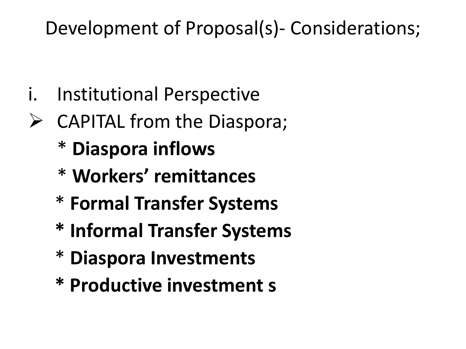#### Development of Proposal(s)- Considerations;

- i. Institutional Perspective
- $\triangleright$  CAPITAL from the Diaspora;
	- \* **Diaspora inflows**
	- \* **Workers' remittances**
	- \* **Formal Transfer Systems**
	- **\* Informal Transfer Systems**
	- \* **Diaspora Investments**
	- **\* Productive investment s**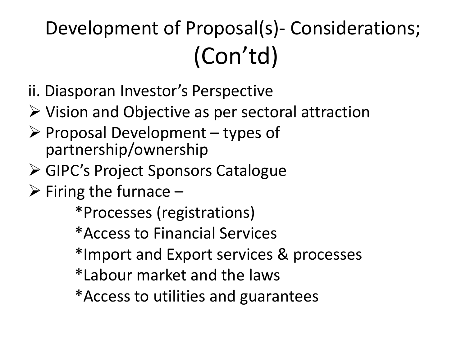## Development of Proposal(s)- Considerations; (Con'td)

- ii. Diasporan Investor's Perspective
- $\triangleright$  Vision and Objective as per sectoral attraction
- $\triangleright$  Proposal Development types of partnership/ownership
- GIPC's Project Sponsors Catalogue
- $\triangleright$  Firing the furnace –

\*Processes (registrations)

\*Access to Financial Services

\*Import and Export services & processes

\*Labour market and the laws

\*Access to utilities and guarantees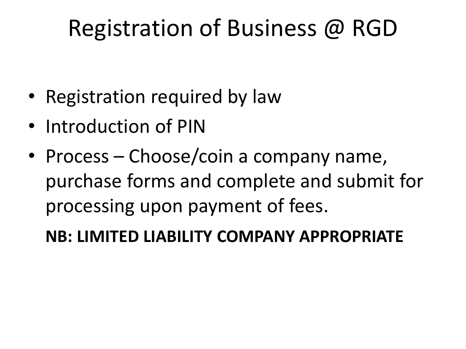## Registration of Business @ RGD

- Registration required by law
- Introduction of PIN
- Process Choose/coin a company name, purchase forms and complete and submit for processing upon payment of fees.

#### **NB: LIMITED LIABILITY COMPANY APPROPRIATE**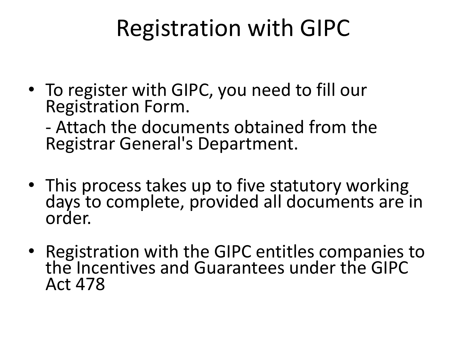## Registration with GIPC

- To register with GIPC, you need to fill our Registration Form.
	- Attach the documents obtained from the Registrar General's Department.
- This process takes up to five statutory working days to complete, provided all documents are in order.
- Registration with the GIPC entitles companies to the Incentives and Guarantees under the GIPC Act 478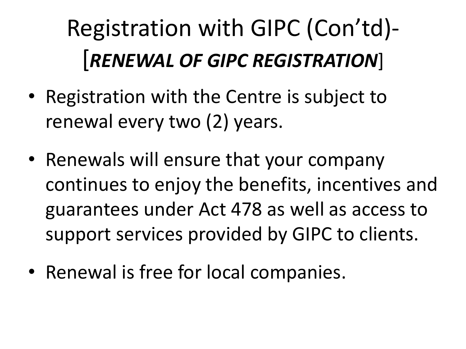# Registration with GIPC (Con'td)- [*RENEWAL OF GIPC REGISTRATION*]

- Registration with the Centre is subject to renewal every two (2) years.
- Renewals will ensure that your company continues to enjoy the benefits, incentives and guarantees under Act 478 as well as access to support services provided by GIPC to clients.
- Renewal is free for local companies.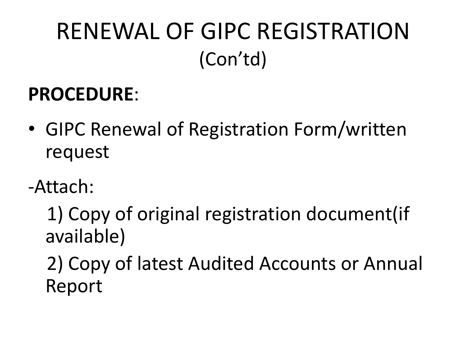## RENEWAL OF GIPC REGISTRATION (Con'td)

#### **PROCEDURE**:

- GIPC Renewal of Registration Form/written request
- -Attach:

 1) Copy of original registration document(if available)

 2) Copy of latest Audited Accounts or Annual Report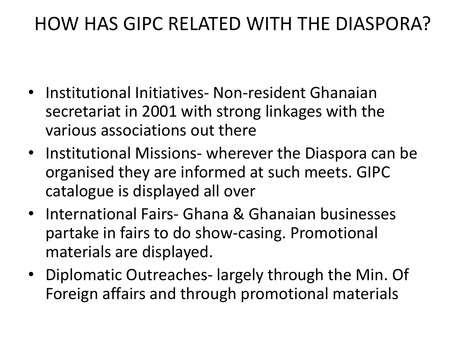#### HOW HAS GIPC RELATED WITH THE DIASPORA?

- Institutional Initiatives- Non-resident Ghanaian secretariat in 2001 with strong linkages with the various associations out there
- Institutional Missions- wherever the Diaspora can be organised they are informed at such meets. GIPC catalogue is displayed all over
- International Fairs- Ghana & Ghanaian businesses partake in fairs to do show-casing. Promotional materials are displayed.
- Diplomatic Outreaches- largely through the Min. Of Foreign affairs and through promotional materials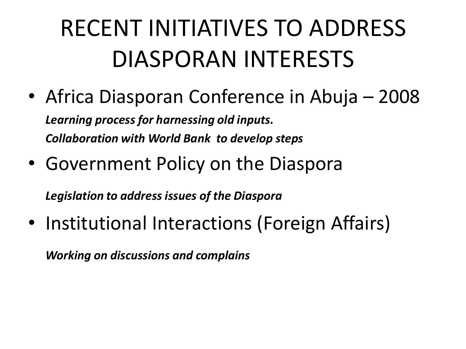## RECENT INITIATIVES TO ADDRESS DIASPORAN INTERESTS

- Africa Diasporan Conference in Abuja 2008 *Learning process for harnessing old inputs. Collaboration with World Bank to develop steps*
- Government Policy on the Diaspora

*Legislation to address issues of the Diaspora*

• Institutional Interactions (Foreign Affairs)

*Working on discussions and complains*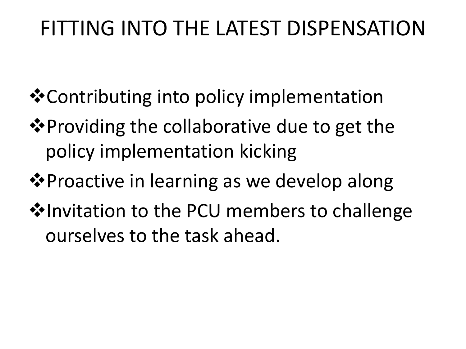#### FITTING INTO THE LATEST DISPENSATION

- **\*** Contributing into policy implementation
- **Example 20 Ferover Viding the collaborative due to get the** policy implementation kicking
- **Example 49 Proactive in learning as we develop along**
- **V**Invitation to the PCU members to challenge ourselves to the task ahead.